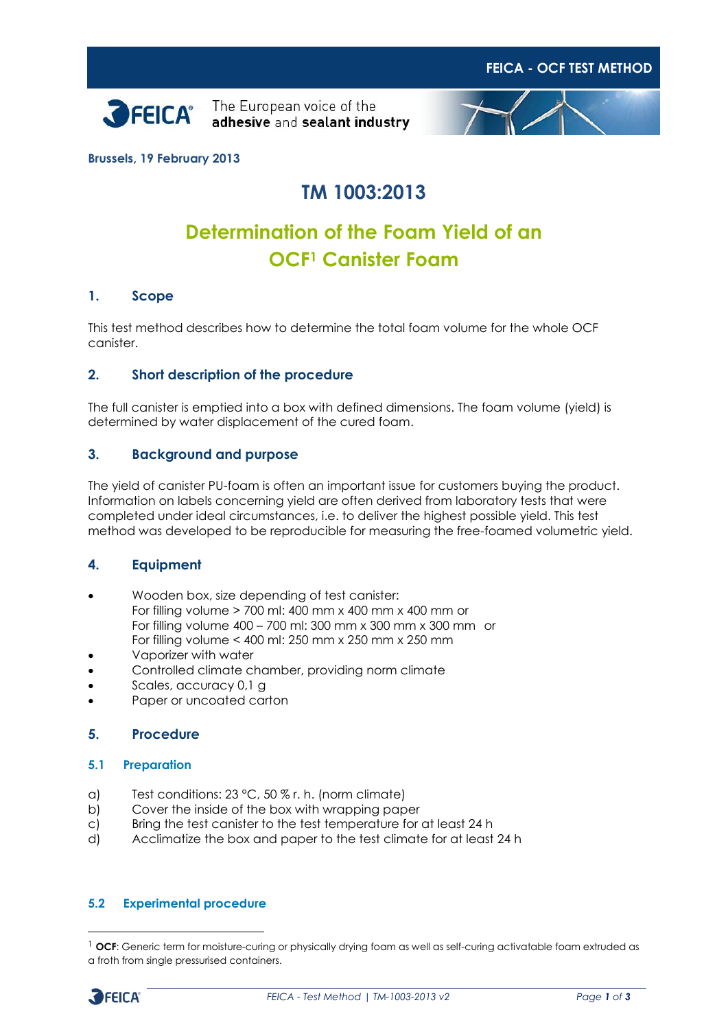



**FEICA - OCF TEST METHOD**

**Brussels, 19 February 2013**

# **TM 1003:2013**

# **Determination of the Foam Yield of an OCF<sup>1</sup> Canister Foam**

#### **1. Scope**

This test method describes how to determine the total foam volume for the whole OCF canister.

### **2. Short description of the procedure**

The full canister is emptied into a box with defined dimensions. The foam volume (yield) is determined by water displacement of the cured foam.

#### **3. Background and purpose**

The yield of canister PU-foam is often an important issue for customers buying the product. Information on labels concerning yield are often derived from laboratory tests that were completed under ideal circumstances, i.e. to deliver the highest possible yield. This test method was developed to be reproducible for measuring the free-foamed volumetric yield.

#### **4. Equipment**

- Wooden box, size depending of test canister: For filling volume > 700 ml: 400 mm x 400 mm x 400 mm or For filling volume 400 – 700 ml: 300 mm x 300 mm x 300 mm or For filling volume < 400 ml: 250 mm x 250 mm x 250 mm
- Vaporizer with water
- Controlled climate chamber, providing norm climate
- Scales, accuracy 0,1 g
- Paper or uncoated carton

#### **5. Procedure**

#### **5.1 Preparation**

- a) Test conditions: 23 °C, 50 % r. h. (norm climate)
- b) Cover the inside of the box with wrapping paper
- c) Bring the test canister to the test temperature for at least 24 h
- d) Acclimatize the box and paper to the test climate for at least 24 h

#### **5.2 Experimental procedure**

<sup>&</sup>lt;sup>1</sup> OCF: Generic term for moisture-curing or physically drying foam as well as self-curing activatable foam extruded as a froth from single pressurised containers.



-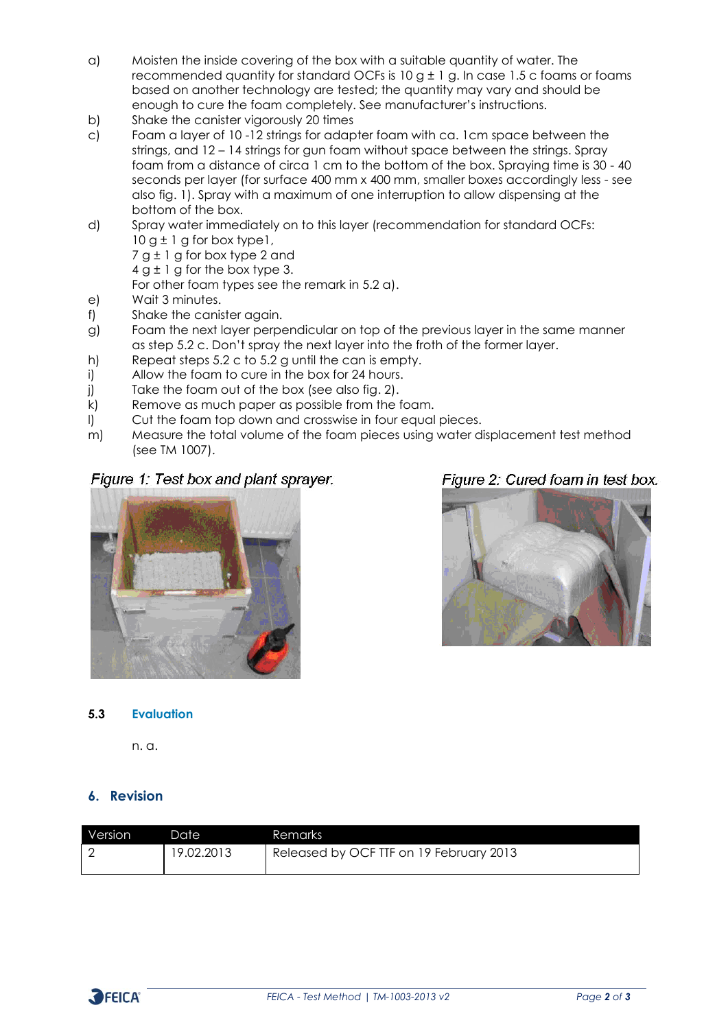- a) Moisten the inside covering of the box with a suitable quantity of water. The recommended quantity for standard OCFs is  $10 g \pm 1 g$ . In case 1.5 c foams or foams based on another technology are tested; the quantity may vary and should be enough to cure the foam completely. See manufacturer's instructions.
- b) Shake the canister vigorously 20 times
- c) Foam a layer of 10 -12 strings for adapter foam with ca. 1cm space between the strings, and 12 – 14 strings for gun foam without space between the strings. Spray foam from a distance of circa 1 cm to the bottom of the box. Spraying time is 30 - 40 seconds per layer (for surface 400 mm x 400 mm, smaller boxes accordingly less - see also fig. 1). Spray with a maximum of one interruption to allow dispensing at the bottom of the box.
- d) Spray water immediately on to this layer (recommendation for standard OCFs:  $10 g \pm 1 g$  for box type 1,
	- 7 g ± 1 g for box type 2 and
	- $4 g \pm 1 g$  for the box type 3.
	- For other foam types see the remark in 5.2 a).
- e) Wait 3 minutes.
- f) Shake the canister again.
- g) Foam the next layer perpendicular on top of the previous layer in the same manner as step 5.2 c. Don't spray the next layer into the froth of the former layer.
- h) Repeat steps 5.2 c to 5.2 g until the can is empty.
- i) Allow the foam to cure in the box for 24 hours.
- j) Take the foam out of the box (see also fig. 2).
- k) Remove as much paper as possible from the foam.
- l) Cut the foam top down and crosswise in four equal pieces.
- m) Measure the total volume of the foam pieces using water displacement test method (see TM 1007).

## Figure 1: Test box and plant sprayer.



# Figure 2: Cured foam in test box.



#### **5.3 Evaluation**

n. a.

## **6. Revision**

| Version | Date       | Remarks                                 |
|---------|------------|-----------------------------------------|
|         | 19.02.2013 | Released by OCF TTF on 19 February 2013 |